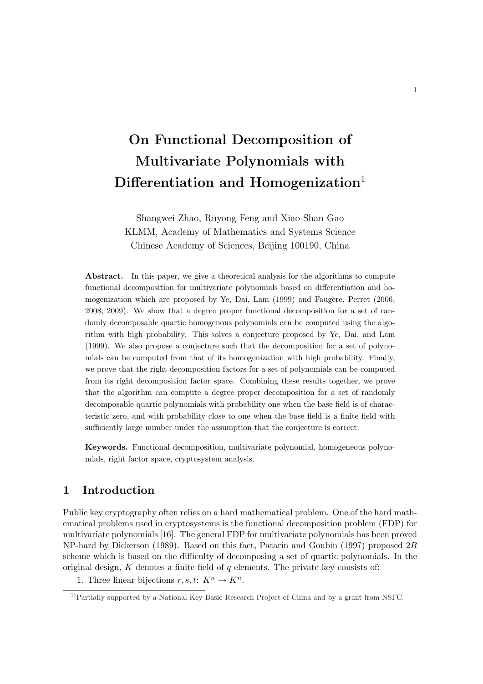# On Functional Decomposition of Multivariate Polynomials with Differentiation and Homogenization<sup>1</sup>

Shangwei Zhao, Ruyong Feng and Xiao-Shan Gao KLMM, Academy of Mathematics and Systems Science Chinese Academy of Sciences, Beijing 100190, China

Abstract. In this paper, we give a theoretical analysis for the algorithms to compute functional decomposition for multivariate polynomials based on differentiation and homogenization which are proposed by Ye, Dai, Lam (1999) and Faugère, Perret (2006, 2008, 2009). We show that a degree proper functional decomposition for a set of randomly decomposable quartic homogenous polynomials can be computed using the algorithm with high probability. This solves a conjecture proposed by Ye, Dai, and Lam (1999). We also propose a conjecture such that the decomposition for a set of polynomials can be computed from that of its homogenization with high probability. Finally, we prove that the right decomposition factors for a set of polynomials can be computed from its right decomposition factor space. Combining these results together, we prove that the algorithm can compute a degree proper decomposition for a set of randomly decomposable quartic polynomials with probability one when the base field is of characteristic zero, and with probability close to one when the base field is a finite field with sufficiently large number under the assumption that the conjecture is correct.

Keywords. Functional decomposition, multivariate polynomial, homogeneous polynomials, right factor space, cryptosystem analysis.

## 1 Introduction

Public key cryptography often relies on a hard mathematical problem. One of the hard mathematical problems used in cryptosystems is the functional decomposition problem (FDP) for multivariate polynomials [16]. The general FDP for multivariate polynomials has been proved NP-hard by Dickerson (1989). Based on this fact, Patarin and Goubin (1997) proposed 2R scheme which is based on the difficulty of decomposing a set of quartic polynomials. In the original design,  $K$  denotes a finite field of  $q$  elements. The private key consists of:

1. Three linear bijections  $r, s, t: K^n \to K^n$ .

<sup>&</sup>lt;sup>1)</sup>Partially supported by a National Key Basic Research Project of China and by a grant from NSFC.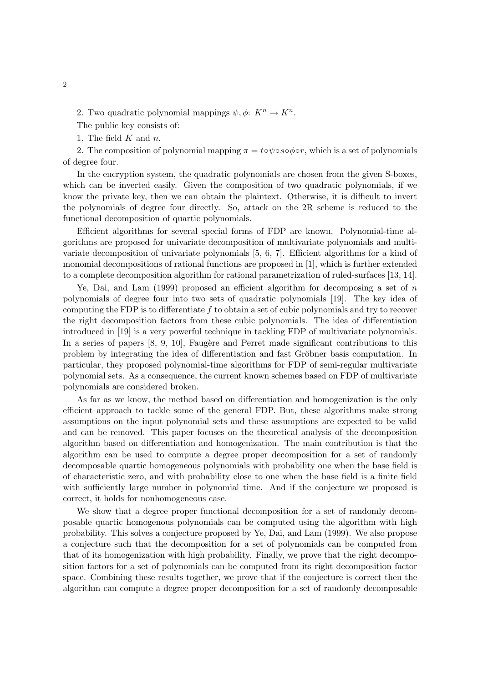2. Two quadratic polynomial mappings  $\psi, \phi: K^n \to K^n$ .

The public key consists of:

1. The field  $K$  and  $n$ .

2. The composition of polynomial mapping  $\pi = t \circ \psi \circ s \circ \phi \circ r$ , which is a set of polynomials of degree four.

In the encryption system, the quadratic polynomials are chosen from the given S-boxes, which can be inverted easily. Given the composition of two quadratic polynomials, if we know the private key, then we can obtain the plaintext. Otherwise, it is difficult to invert the polynomials of degree four directly. So, attack on the 2R scheme is reduced to the functional decomposition of quartic polynomials.

Efficient algorithms for several special forms of FDP are known. Polynomial-time algorithms are proposed for univariate decomposition of multivariate polynomials and multivariate decomposition of univariate polynomials [5, 6, 7]. Efficient algorithms for a kind of monomial decompositions of rational functions are proposed in [1], which is further extended to a complete decomposition algorithm for rational parametrization of ruled-surfaces [13, 14].

Ye, Dai, and Lam  $(1999)$  proposed an efficient algorithm for decomposing a set of n polynomials of degree four into two sets of quadratic polynomials [19]. The key idea of computing the FDP is to differentiate  $f$  to obtain a set of cubic polynomials and try to recover the right decomposition factors from these cubic polynomials. The idea of differentiation introduced in [19] is a very powerful technique in tackling FDP of multivariate polynomials. In a series of papers  $[8, 9, 10]$ , Faugère and Perret made significant contributions to this problem by integrating the idea of differentiation and fast Gröbner basis computation. In particular, they proposed polynomial-time algorithms for FDP of semi-regular multivariate polynomial sets. As a consequence, the current known schemes based on FDP of multivariate polynomials are considered broken.

As far as we know, the method based on differentiation and homogenization is the only efficient approach to tackle some of the general FDP. But, these algorithms make strong assumptions on the input polynomial sets and these assumptions are expected to be valid and can be removed. This paper focuses on the theoretical analysis of the decomposition algorithm based on differentiation and homogenization. The main contribution is that the algorithm can be used to compute a degree proper decomposition for a set of randomly decomposable quartic homogeneous polynomials with probability one when the base field is of characteristic zero, and with probability close to one when the base field is a finite field with sufficiently large number in polynomial time. And if the conjecture we proposed is correct, it holds for nonhomogeneous case.

We show that a degree proper functional decomposition for a set of randomly decomposable quartic homogenous polynomials can be computed using the algorithm with high probability. This solves a conjecture proposed by Ye, Dai, and Lam (1999). We also propose a conjecture such that the decomposition for a set of polynomials can be computed from that of its homogenization with high probability. Finally, we prove that the right decomposition factors for a set of polynomials can be computed from its right decomposition factor space. Combining these results together, we prove that if the conjecture is correct then the algorithm can compute a degree proper decomposition for a set of randomly decomposable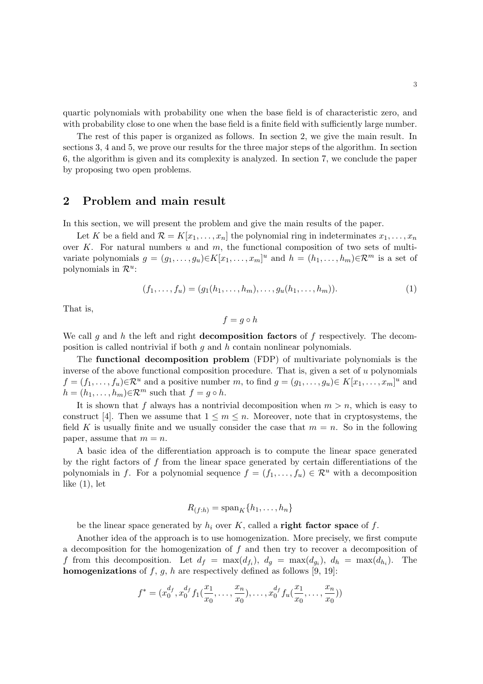quartic polynomials with probability one when the base field is of characteristic zero, and with probability close to one when the base field is a finite field with sufficiently large number.

The rest of this paper is organized as follows. In section 2, we give the main result. In sections 3, 4 and 5, we prove our results for the three major steps of the algorithm. In section 6, the algorithm is given and its complexity is analyzed. In section 7, we conclude the paper by proposing two open problems.

## 2 Problem and main result

In this section, we will present the problem and give the main results of the paper.

Let K be a field and  $\mathcal{R} = K[x_1, \ldots, x_n]$  the polynomial ring in indeterminates  $x_1, \ldots, x_n$ over  $K$ . For natural numbers  $u$  and  $m$ , the functional composition of two sets of multivariate polynomials  $g = (g_1, \ldots, g_u) \in K[x_1, \ldots, x_m]^u$  and  $h = (h_1, \ldots, h_m) \in \mathbb{R}^m$  is a set of polynomials in  $\mathcal{R}^u$ :

$$
(f_1, \ldots, f_u) = (g_1(h_1, \ldots, h_m), \ldots, g_u(h_1, \ldots, h_m)).
$$
\n(1)

That is,

$$
f = g \circ h
$$

We call q and h the left and right **decomposition factors** of f respectively. The decomposition is called nontrivial if both  $q$  and  $h$  contain nonlinear polynomials.

The functional decomposition problem (FDP) of multivariate polynomials is the inverse of the above functional composition procedure. That is, given a set of u polynomials  $f = (f_1, \ldots, f_u) \in \mathbb{R}^u$  and a positive number m, to find  $g = (g_1, \ldots, g_u) \in K[x_1, \ldots, x_m]^u$  and  $h = (h_1, \ldots, h_m) \in \mathcal{R}^m$  such that  $f = g \circ h$ .

It is shown that f always has a nontrivial decomposition when  $m > n$ , which is easy to construct [4]. Then we assume that  $1 \leq m \leq n$ . Moreover, note that in cryptosystems, the field K is usually finite and we usually consider the case that  $m = n$ . So in the following paper, assume that  $m = n$ .

A basic idea of the differentiation approach is to compute the linear space generated by the right factors of  $f$  from the linear space generated by certain differentiations of the polynomials in f. For a polynomial sequence  $f = (f_1, \ldots, f_u) \in \mathcal{R}^u$  with a decomposition like  $(1)$ , let

$$
R_{(f:h)} = \text{span}_K \{h_1, \dots, h_n\}
$$

be the linear space generated by  $h_i$  over K, called a **right factor space** of f.

Another idea of the approach is to use homogenization. More precisely, we first compute a decomposition for the homogenization of  $f$  and then try to recover a decomposition of f from this decomposition. Let  $d_f = \max(d_{f_i}), d_g = \max(d_{g_i}), d_h = \max(d_{h_i}).$  The **homogenizations** of f, g, h are respectively defined as follows [9, 19]:

$$
f^* = (x_0^{d_f}, x_0^{d_f} f_1(\frac{x_1}{x_0}, \dots, \frac{x_n}{x_0}), \dots, x_0^{d_f} f_u(\frac{x_1}{x_0}, \dots, \frac{x_n}{x_0}))
$$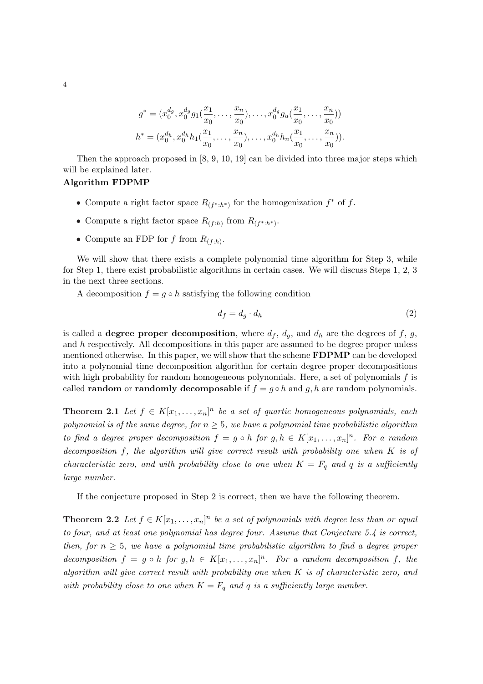$$
g^* = (x_0^{d_g}, x_0^{d_g} g_1(\frac{x_1}{x_0}, \dots, \frac{x_n}{x_0}), \dots, x_0^{d_g} g_u(\frac{x_1}{x_0}, \dots, \frac{x_n}{x_0}))
$$
  

$$
h^* = (x_0^{d_h}, x_0^{d_h} h_1(\frac{x_1}{x_0}, \dots, \frac{x_n}{x_0}), \dots, x_0^{d_h} h_n(\frac{x_1}{x_0}, \dots, \frac{x_n}{x_0})).
$$

Then the approach proposed in [8, 9, 10, 19] can be divided into three major steps which will be explained later.

#### Algorithm FDPMP

- Compute a right factor space  $R_{(f^*:h^*)}$  for the homogenization  $f^*$  of f.
- Compute a right factor space  $R_{(f:h)}$  from  $R_{(f^*:h^*)}$ .
- Compute an FDP for f from  $R_{(f:h)}$ .

We will show that there exists a complete polynomial time algorithm for Step 3, while for Step 1, there exist probabilistic algorithms in certain cases. We will discuss Steps 1, 2, 3 in the next three sections.

A decomposition  $f = g \circ h$  satisfying the following condition

$$
d_f = d_g \cdot d_h \tag{2}
$$

is called a **degree proper decomposition**, where  $d_f$ ,  $d_g$ , and  $d_h$  are the degrees of f, g, and  $h$  respectively. All decompositions in this paper are assumed to be degree proper unless mentioned otherwise. In this paper, we will show that the scheme **FDPMP** can be developed into a polynomial time decomposition algorithm for certain degree proper decompositions with high probability for random homogeneous polynomials. Here, a set of polynomials  $f$  is called **random** or **randomly decomposable** if  $f = g \circ h$  and g, h are random polynomials.

**Theorem 2.1** Let  $f \in K[x_1,\ldots,x_n]^n$  be a set of quartic homogeneous polynomials, each polynomial is of the same degree, for  $n \geq 5$ , we have a polynomial time probabilistic algorithm to find a degree proper decomposition  $f = g \circ h$  for  $g, h \in K[x_1, \ldots, x_n]^n$ . For a random decomposition f, the algorithm will give correct result with probability one when K is of characteristic zero, and with probability close to one when  $K = F_q$  and q is a sufficiently large number.

If the conjecture proposed in Step 2 is correct, then we have the following theorem.

**Theorem 2.2** Let  $f \in K[x_1, \ldots, x_n]^n$  be a set of polynomials with degree less than or equal to four, and at least one polynomial has degree four. Assume that Conjecture  $5.4$  is correct, then, for  $n \geq 5$ , we have a polynomial time probabilistic algorithm to find a degree proper decomposition  $f = g \circ h$  for  $g, h \in K[x_1, \ldots, x_n]^n$ . For a random decomposition f, the algorithm will give correct result with probability one when K is of characteristic zero, and with probability close to one when  $K = F_q$  and q is a sufficiently large number.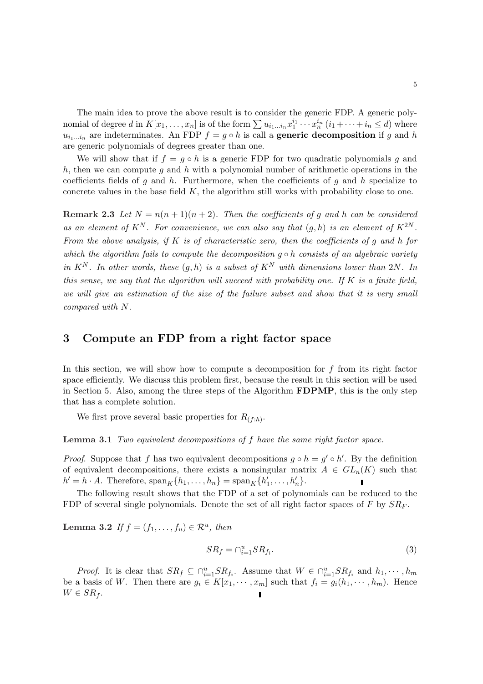The main idea to prove the above result is to consider the generic FDP. A generic poly-The main idea to prove the above result is to consider the generic FDT. A generic poly-<br>nomial of degree d in  $K[x_1, \ldots, x_n]$  is of the form  $\sum u_{i_1...i_n} x_1^{i_1} \cdots x_n^{i_n}$   $(i_1 + \cdots + i_n \leq d)$  where  $u_{i_1...i_n}$  are indeterminates. An FDP  $f = g \circ h$  is call a **generic decomposition** if g and h are generic polynomials of degrees greater than one.

We will show that if  $f = g \circ h$  is a generic FDP for two quadratic polynomials g and h, then we can compute q and h with a polynomial number of arithmetic operations in the coefficients fields of g and h. Furthermore, when the coefficients of g and h specialize to concrete values in the base field  $K$ , the algorithm still works with probability close to one.

**Remark 2.3** Let  $N = n(n+1)(n+2)$ . Then the coefficients of g and h can be considered as an element of  $K^N$ . For convenience, we can also say that  $(q, h)$  is an element of  $K^{2N}$ . From the above analysis, if  $K$  is of characteristic zero, then the coefficients of  $g$  and  $h$  for which the algorithm fails to compute the decomposition  $g \circ h$  consists of an algebraic variety in  $K^N$ . In other words, these  $(g, h)$  is a subset of  $K^N$  with dimensions lower than 2N. In this sense, we say that the algorithm will succeed with probability one. If  $K$  is a finite field, we will give an estimation of the size of the failure subset and show that it is very small compared with N.

## 3 Compute an FDP from a right factor space

In this section, we will show how to compute a decomposition for  $f$  from its right factor space efficiently. We discuss this problem first, because the result in this section will be used in Section 5. Also, among the three steps of the Algorithm FDPMP, this is the only step that has a complete solution.

We first prove several basic properties for  $R_{(f:h)}$ .

Lemma 3.1 Two equivalent decompositions of f have the same right factor space.

*Proof.* Suppose that f has two equivalent decompositions  $g \circ h = g' \circ h'$ . By the definition of equivalent decompositions, there exists a nonsingular matrix  $A \in GL_n(K)$  such that  $h' = h \cdot A$ . Therefore,  $\text{span}_K \{h_1, \ldots, h_n\} = \text{span}_K \{h'_1, \ldots, h'_n\}.$  $\mathbf{I}$ 

The following result shows that the FDP of a set of polynomials can be reduced to the FDP of several single polynomials. Denote the set of all right factor spaces of F by  $SR_F$ .

Lemma 3.2 If  $f = (f_1, \ldots, f_u) \in \mathcal{R}^u$ , then

$$
SR_f = \bigcap_{i=1}^u SR_{f_i}.\tag{3}
$$

*Proof.* It is clear that  $SR_f \subseteq \bigcap_{i=1}^u SR_{f_i}$ . Assume that  $W \in \bigcap_{i=1}^u SR_{f_i}$  and  $h_1, \dots, h_m$ be a basis of W. Then there are  $g_i \in K[x_1, \dots, x_m]$  such that  $f_i = g_i(h_1, \dots, h_m)$ . Hence  $W \in SR_f$ .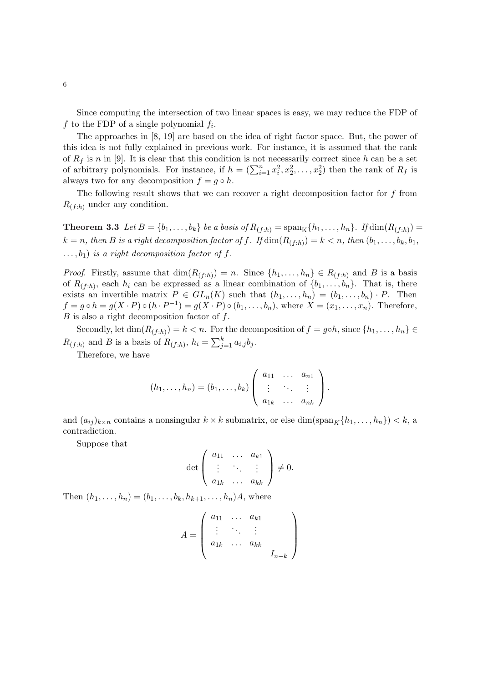Since computing the intersection of two linear spaces is easy, we may reduce the FDP of f to the FDP of a single polynomial  $f_i$ .

The approaches in [8, 19] are based on the idea of right factor space. But, the power of this idea is not fully explained in previous work. For instance, it is assumed that the rank of  $R_f$  is n in [9]. It is clear that this condition is not necessarily correct since h can be a set of arbitrary polynomials. For instance, if  $h = (\sum_{i=1}^n x_i^2, x_2^2, \dots, x_2^2)$  then the rank of  $R_f$  is always two for any decomposition  $f = g \circ h$ .

The following result shows that we can recover a right decomposition factor for  $f$  from  $R_{(f:h)}$  under any condition.

**Theorem 3.3** Let  $B = \{b_1, \ldots, b_k\}$  be a basis of  $R_{(f:h)} = \text{span}_{K} \{h_1, \ldots, h_n\}$ . If  $\dim(R_{(f:h)}) =$  $k = n$ , then B is a right decomposition factor of f. If  $\dim(R_{(f:h)}) = k < n$ , then  $(b_1, \ldots, b_k, b_1, \ldots, b_k)$  $\dots, b_1$ ) is a right decomposition factor of f.

*Proof.* Firstly, assume that  $\dim(R_{(f:h)}) = n$ . Since  $\{h_1, \ldots, h_n\} \in R_{(f:h)}$  and B is a basis of  $R(f,h)$ , each  $h_i$  can be expressed as a linear combination of  $\{b_1,\ldots,b_n\}$ . That is, there exists an invertible matrix  $P \in GL_n(K)$  such that  $(h_1, \ldots, h_n) = (b_1, \ldots, b_n) \cdot P$ . Then  $f = g \circ h = g(X \cdot P) \circ (h \cdot P^{-1}) = g(X \cdot P) \circ (b_1, \ldots, b_n)$ , where  $X = (x_1, \ldots, x_n)$ . Therefore,  $B$  is also a right decomposition factor of  $f$ .

Secondly, let  $\dim(R_{(f:h)}) = k < n$ . For the decomposition of  $f = g \circ h$ , since  $\{h_1, \ldots, h_n\} \in$  $R_{(f:h)}$  and B is a basis of  $R_{(f:h)}$ ,  $h_i = \sum_{j}^{k}$  $_{j=1}^{k} a_{i,j} b_j.$ 

Therefore, we have

$$
(h_1,\ldots,h_n)=(b_1,\ldots,b_k)\left(\begin{array}{ccc}a_{11}&\ldots&a_{n1}\\ \vdots&\ddots&\vdots\\ a_{1k}&\ldots&a_{nk}\end{array}\right).
$$

and  $(a_{ij})_{k\times n}$  contains a nonsingular  $k \times k$  submatrix, or else  $\dim(\text{span}_K\{h_1, \ldots, h_n\}) < k$ , a contradiction.

Suppose that

$$
\det\left(\begin{array}{ccc} a_{11} & \dots & a_{k1} \\ \vdots & \ddots & \vdots \\ a_{1k} & \dots & a_{kk} \end{array}\right) \neq 0.
$$

Then  $(h_1, \ldots, h_n) = (b_1, \ldots, b_k, h_{k+1}, \ldots, h_n)A$ , where

$$
A = \left(\begin{array}{cccc} a_{11} & \dots & a_{k1} \\ \vdots & \ddots & \vdots \\ a_{1k} & \dots & a_{kk} \\ \end{array}\right)
$$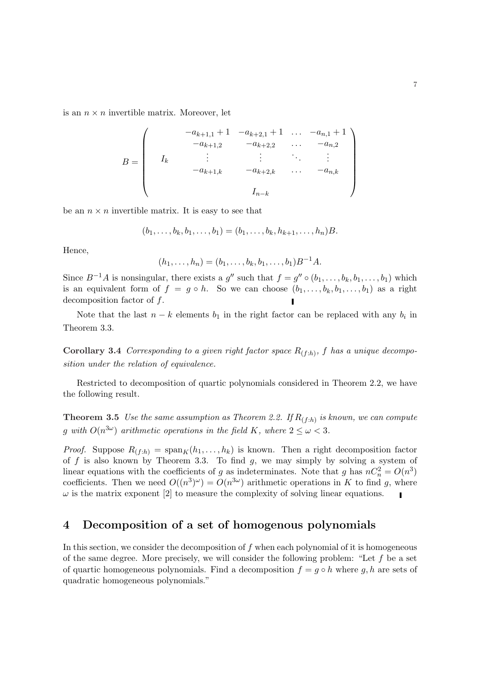is an  $n \times n$  invertible matrix. Moreover, let

$$
B = \begin{pmatrix} -a_{k+1,1} + 1 & -a_{k+2,1} + 1 & \dots & -a_{n,1} + 1 \\ -a_{k+1,2} & -a_{k+2,2} & \dots & -a_{n,2} \\ \vdots & \vdots & \ddots & \vdots \\ -a_{k+1,k} & -a_{k+2,k} & \dots & -a_{n,k} \\ & & I_{n-k} & & \end{pmatrix}
$$

be an  $n \times n$  invertible matrix. It is easy to see that

$$
(b_1, \ldots, b_k, b_1, \ldots, b_1) = (b_1, \ldots, b_k, h_{k+1}, \ldots, h_n)B.
$$

Hence,

$$
(h_1, \ldots, h_n) = (b_1, \ldots, b_k, b_1, \ldots, b_1)B^{-1}A.
$$

Since  $B^{-1}A$  is nonsingular, there exists a  $g''$  such that  $f = g'' \circ (b_1, \ldots, b_k, b_1, \ldots, b_1)$  which is an equivalent form of  $f = g \circ h$ . So we can choose  $(b_1, \ldots, b_k, b_1, \ldots, b_1)$  as a right decomposition factor of f.

Note that the last  $n - k$  elements  $b_1$  in the right factor can be replaced with any  $b_i$  in Theorem 3.3.

**Corollary 3.4** Corresponding to a given right factor space  $R_{(f:h)}$ , f has a unique decomposition under the relation of equivalence.

Restricted to decomposition of quartic polynomials considered in Theorem 2.2, we have the following result.

**Theorem 3.5** Use the same assumption as Theorem 2.2. If  $R_{(f:h)}$  is known, we can compute g with  $O(n^{3\omega})$  arithmetic operations in the field K, where  $2 \leq \omega < 3$ .

*Proof.* Suppose  $R_{(f:h)} = \text{span}_{K}(h_1, \ldots, h_k)$  is known. Then a right decomposition factor of f is also known by Theorem 3.3. To find  $g$ , we may simply by solving a system of linear equations with the coefficients of g as indeterminates. Note that g has  $nC_n^2 = O(n^3)$ coefficients. Then we need  $O((n^3)^\omega) = O(n^{3\omega})$  arithmetic operations in K to find g, where  $\omega$  is the matrix exponent [2] to measure the complexity of solving linear equations.  $\blacksquare$ 

### 4 Decomposition of a set of homogenous polynomials

In this section, we consider the decomposition of  $f$  when each polynomial of it is homogeneous of the same degree. More precisely, we will consider the following problem: "Let  $f$  be a set of quartic homogeneous polynomials. Find a decomposition  $f = g \circ h$  where g, h are sets of quadratic homogeneous polynomials."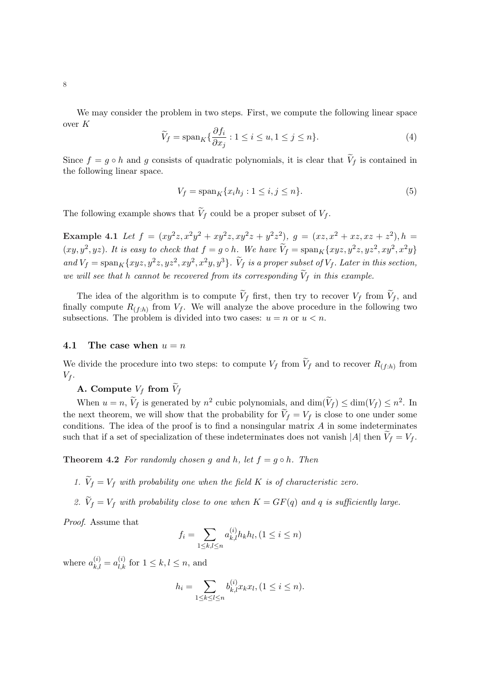We may consider the problem in two steps. First, we compute the following linear space over K

$$
\widetilde{V}_f = \operatorname{span}_K \{ \frac{\partial f_i}{\partial x_j} : 1 \le i \le u, 1 \le j \le n \}. \tag{4}
$$

Since  $f = g \circ h$  and g consists of quadratic polynomials, it is clear that  $V_f$  is contained in the following linear space.

$$
V_f = \operatorname{span}_K \{ x_i h_j : 1 \le i, j \le n \}. \tag{5}
$$

The following example shows that  $V_f$  could be a proper subset of  $V_f$ .

Example 4.1 Let  $f = (xy^2z, x^2y^2 + xy^2z, xy^2z + y^2z^2), g = (xz, x^2 + xz, xz + z^2), h =$  $(xy, y^2, yz)$ . It is easy to check that  $f = g \circ h$ . We have  $\widetilde{V}_f = \text{span}_K\{xyz, y^2z, yz^2, xy^2, x^2y\}$ and  $V_f = \text{span}_K\{xyz, y^2z, yz^2, xy^2, x^2y, y^3\}$ .  $\widetilde{V}_f$  is a proper subset of  $V_f$ . Later in this section, we will see that h cannot be recovered from its corresponding  $\widetilde{V}_f$  in this example.

The idea of the algorithm is to compute  $\tilde{V}_f$  first, then try to recover  $V_f$  from  $\tilde{V}_f$ , and finally compute  $R_{(f:h)}$  from  $V_f$ . We will analyze the above procedure in the following two subsections. The problem is divided into two cases:  $u = n$  or  $u < n$ .

#### 4.1 The case when  $u = n$

We divide the procedure into two steps: to compute  $V_f$  from  $\widetilde{V}_f$  and to recover  $R_{(f:h)}$  from  $V_f$ .

A. Compute  $V_f$  from  $V_f$ 

When  $u = n$ ,  $\tilde{V}_f$  is generated by  $n^2$  cubic polynomials, and  $\dim(\tilde{V}_f) \leq \dim(V_f) \leq n^2$ . In the next theorem, we will show that the probability for  $V_f = V_f$  is close to one under some conditions. The idea of the proof is to find a nonsingular matrix  $A$  in some indeterminates such that if a set of specialization of these indeterminates does not vanish |A| then  $V_f = V_f$ .

**Theorem 4.2** For randomly chosen g and h, let  $f = g \circ h$ . Then

- 1.  $\widetilde{V}_f = V_f$  with probability one when the field K is of characteristic zero.
- 2.  $\widetilde{V}_f = V_f$  with probability close to one when  $K = GF(q)$  and q is sufficiently large.

Proof. Assume that

$$
f_i = \sum_{1 \le k, l \le n} a_{k,l}^{(i)} h_k h_l, (1 \le i \le n)
$$

where  $a_{k,l}^{(i)} = a_{l,k}^{(i)}$  for  $1 \leq k, l \leq n$ , and

$$
h_i = \sum_{1 \le k \le l \le n} b_{k,l}^{(i)} x_k x_l, (1 \le i \le n).
$$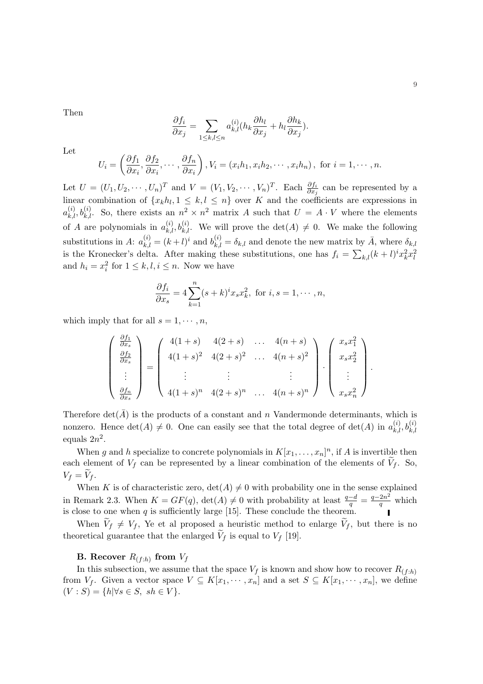Then

$$
\frac{\partial f_i}{\partial x_j} = \sum_{1 \leq k,l \leq n} a_{k,l}^{(i)}(h_k \frac{\partial h_l}{\partial x_j} + h_l \frac{\partial h_k}{\partial x_j}).
$$

Let

$$
U_i = \left(\frac{\partial f_1}{\partial x_i}, \frac{\partial f_2}{\partial x_i}, \cdots, \frac{\partial f_n}{\partial x_i}\right), V_i = (x_i h_1, x_i h_2, \cdots, x_i h_n), \text{ for } i = 1, \cdots, n.
$$

Let  $U = (U_1, U_2, \dots, U_n)^T$  and  $V = (V_1, V_2, \dots, V_n)^T$ . Each  $\frac{\partial f_i}{\partial x_j}$  can be represented by a linear combination of  $\{x_k h_l, 1 \leq k, l \leq n\}$  over K and the coefficients are expressions in  $a_{k,l}^{(i)}$ ,  $b_{k,l}^{(i)}$ . So, there exists an  $n^2 \times n^2$  matrix A such that  $U = A \cdot V$  where the elements of A are polynomials in  $a_{k,l}^{(i)}$ ,  $b_{k,l}^{(i)}$ . We will prove the  $\det(A) \neq 0$ . We make the following substitutions in A:  $a_{k,l}^{(i)} = (k+l)^i$  and  $b_{k,l}^{(i)} = \delta_{k,l}$  and denote the new matrix by  $\overline{A}$ , where  $\delta_{k,l}$ is the Kronecker's delta. After making these substitutions, one has  $f_i = \sum_{k,l} (k+l)^i x_k^2 x_l^2$ and  $h_i = x_i^2$  for  $1 \leq k, l, i \leq n$ . Now we have

$$
\frac{\partial f_i}{\partial x_s} = 4 \sum_{k=1}^n (s+k)^i x_s x_k^2, \text{ for } i, s = 1, \cdots, n,
$$

which imply that for all  $s = 1, \dots, n$ ,

$$
\begin{pmatrix}\n\frac{\partial f_1}{\partial x_s} \\
\frac{\partial f_2}{\partial x_s} \\
\vdots \\
\frac{\partial f_n}{\partial x_s}\n\end{pmatrix} = \begin{pmatrix}\n4(1+s) & 4(2+s) & \dots & 4(n+s) \\
4(1+s)^2 & 4(2+s)^2 & \dots & 4(n+s)^2 \\
\vdots & \vdots & \ddots & \vdots \\
4(1+s)^n & 4(2+s)^n & \dots & 4(n+s)^n\n\end{pmatrix} \cdot \begin{pmatrix}\nx_s x_1^2 \\
x_s x_2^2 \\
\vdots \\
x_s x_n^2\n\end{pmatrix}
$$

Therefore  $\det(\bar{A})$  is the products of a constant and n Vandermonde determinants, which is nonzero. Hence  $\det(A) \neq 0$ . One can easily see that the total degree of  $\det(A)$  in  $a_{k,l}^{(i)}, b_{k,l}^{(i)}$ equals  $2n^2$ .

When g and h specialize to concrete polynomials in  $K[x_1, \ldots, x_n]^n$ , if A is invertible then each element of  $V_f$  can be represented by a linear combination of the elements of  $V_f$ . So,  $V_f = V_f$ .

When K is of characteristic zero,  $\det(A) \neq 0$  with probability one in the sense explained in Remark 2.3. When  $K = GF(q)$ ,  $\det(A) \neq 0$  with probability at least  $\frac{q-d}{q} = \frac{q-2n^2}{q}$  $\frac{2n^2}{q}$  which is close to one when  $q$  is sufficiently large [15]. These conclude the theorem.

When  $V_f \neq V_f$ , Ye et al proposed a heuristic method to enlarge  $V_f$ , but there is no theoretical guarantee that the enlarged  $V_f$  is equal to  $V_f$  [19].

#### **B.** Recover  $R_{(f:h)}$  from  $V_f$

In this subsection, we assume that the space  $V_f$  is known and show how to recover  $R_{(f:h)}$ from  $V_f$ . Given a vector space  $V \subseteq K[x_1, \dots, x_n]$  and a set  $S \subseteq K[x_1, \dots, x_n]$ , we define  $(V : S) = \{h | \forall s \in S, \; sh \in V\}.$ 

.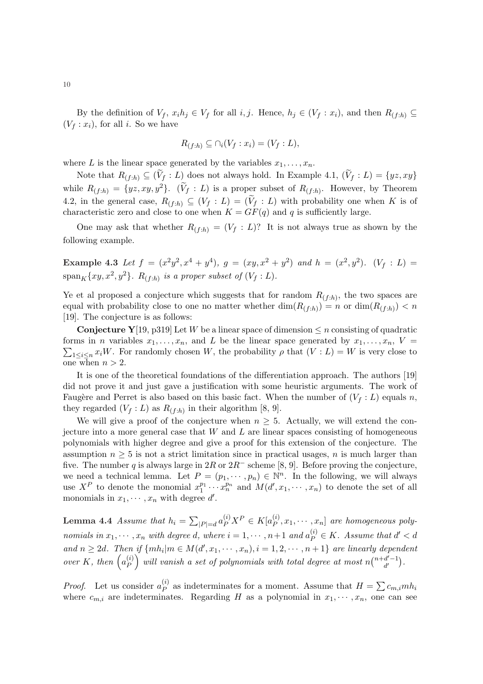By the definition of  $V_f$ ,  $x_i h_j \in V_f$  for all i, j. Hence,  $h_j \in (V_f : x_i)$ , and then  $R_{(f:h)} \subseteq$  $(V_f: x_i)$ , for all i. So we have

$$
R_{(f:h)} \subseteq \cap_i (V_f : x_i) = (V_f : L),
$$

where L is the linear space generated by the variables  $x_1, \ldots, x_n$ .

Note that  $R_{(f:h)} \subseteq (\widetilde{V}_f : L)$  does not always hold. In Example 4.1,  $(\widetilde{V}_f : L) = \{yz, xy\}$ while  $R_{(f:h)} = \{yz, xy, y^2\}$ .  $(\widetilde{V}_f : L)$  is a proper subset of  $R_{(f:h)}$ . However, by Theorem 4.2, in the general case,  $R_{(f:h)} \subseteq (V_f : L) = (\widetilde{V}_f : L)$  with probability one when K is of characteristic zero and close to one when  $K = GF(q)$  and q is sufficiently large.

One may ask that whether  $R_{(f:h)} = (V_f : L)$ ? It is not always true as shown by the following example.

Example 4.3 Let  $f = (x^2y^2, x^4 + y^4)$ ,  $g = (xy, x^2 + y^2)$  and  $h = (x^2, y^2)$ .  $(V_f : L)$  $\operatorname{span}_K\{xy,x^2,y^2\}$ .  $R_{(f:h)}$  is a proper subset of  $(V_f:L)$ .

Ye et al proposed a conjecture which suggests that for random  $R_{(f:h)}$ , the two spaces are equal with probability close to one no matter whether  $\dim(R_{(f:h)}) = n$  or  $\dim(R_{(f:h)}) < n$ [19]. The conjecture is as follows:

**Conjecture Y**[19, p319] Let W be a linear space of dimension  $\leq n$  consisting of quadratic forms in *n* variables  $x_1, \ldots, x_n$ , and L be the linear space generated by  $x_1, \ldots, x_n$ ,  $V =$  $_{1\leq i\leq n} x_i W$ . For randomly chosen W, the probability  $\rho$  that  $(V: L) = W$  is very close to one when  $n > 2$ .

It is one of the theoretical foundations of the differentiation approach. The authors [19] did not prove it and just gave a justification with some heuristic arguments. The work of Faugère and Perret is also based on this basic fact. When the number of  $(V_f : L)$  equals n, they regarded  $(V_f: L)$  as  $R_{(f:h)}$  in their algorithm [8, 9].

We will give a proof of the conjecture when  $n \geq 5$ . Actually, we will extend the conjecture into a more general case that  $W$  and  $L$  are linear spaces consisting of homogeneous polynomials with higher degree and give a proof for this extension of the conjecture. The assumption  $n \geq 5$  is not a strict limitation since in practical usages, n is much larger than five. The number q is always large in  $2R$  or  $2R^-$  scheme [8, 9]. Before proving the conjecture, we need a technical lemma. Let  $P = (p_1, \dots, p_n) \in \mathbb{N}^n$ . In the following, we will always use  $X^P$  to denote the monomial  $x_1^{p_1} \cdots x_n^{p_n}$  and  $M(d', x_1, \dots, x_n)$  to denote the set of all monomials in  $x_1, \dots, x_n$  with degree d'.

**Lemma 4.4** Assume that  $h_i =$  $\overline{ }$  $|P|=d \, a_P^{(i)} X^P \in K[a_P^{(i)}]$  $\mathbb{P}^{(i)}[x_1,\cdots,x_n]$  are homogeneous polynomials in  $x_1, \dots, x_n$  with degree d, where  $i = 1, \dots, n+1$  and  $a_P^{(i)} \in K$ . Assume that  $d' < d$ and  $n \geq 2d$ . Then if  $\{mh_i|m \in M(d',x_1,\dots,x_n), i=1,2,\dots,n+1\}$  are linearly dependent ana n 2 2a. 1 nen<br>over K, then  $\begin{pmatrix} a_p^{(i)} \end{pmatrix}$  $\binom{n}{P}$  will vanish a set of polynomials with total degree at most  $n$  $i$ g acpen $(n+d'-1)$  $d'$  $\frac{1}{\sqrt{2}}$ .

*Proof.* Let us consider  $a_p^{(i)}$  $P_P^{(i)}$  as indeterminates for a moment. Assume that  $H = \sum c_{m,i} m h_i$ where  $c_{m,i}$  are indeterminates. Regarding H as a polynomial in  $x_1, \dots, x_n$ , one can see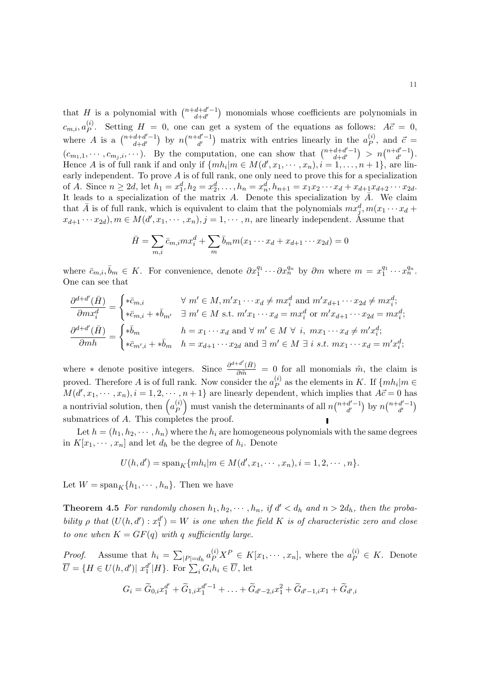that H is a polynomial with  $\binom{n+d+d'-1}{d+d'}$  $d+d'$ ¢ monomials whose coefficients are polynomials in  $c_{m,i}, a_P^{(i)}$ <sup>(i)</sup>. Setting  $H = 0$ , one can get a system of the equations as follows:  $A\vec{c} = 0$ , where A is a  $\binom{n+d+d'-1}{d+d'}$  $d+d'$ ¢ by  $n$  $(n+d'-1)$  $d'$ ?<br>、 matrix with entries linearly in the  $a_{P}^{(i)}$  $\ddot{c}$ , and  $\ddot{c}$  =  $(c_{m_1,1},\dots,c_{m_j,i},\dots)$ . By the computation, one can show that  $\binom{n+d+d'-1}{d+d'}$  $d+d'$  $\binom{n+d'-1}{d'}$  $d'$ ¢ . Hence A is of full rank if and only if  $\{mh_i|m \in M(d',x_1,\dots,x_n), i=1,\dots,n+1\}$ , are linearly independent. To prove A is of full rank, one only need to prove this for a specialization of A. Since  $n \geq 2d$ , let  $h_1 = x_1^d, h_2 = x_2^d, \ldots, h_n = x_n^d, h_{n+1} = x_1 x_2 \cdots x_d + x_{d+1} x_{d+2} \cdots x_{2d}$ . It leads to a specialization of the matrix A. Denote this specialization by  $\overline{A}$ . We claim that  $\bar{A}$  is of full rank, which is equivalent to claim that the polynomials  $mx_j^d, m(x_1 \cdots x_d +$  $x_{d+1} \cdots x_{2d}$ ,  $m \in M(d', x_1, \dots, x_n)$ ,  $j = 1, \dots, n$ , are linearly independent. Assume that

$$
\bar{H} = \sum_{m,i} \bar{c}_{m,i} m x_i^d + \sum_m \bar{b}_m m (x_1 \cdots x_d + x_{d+1} \cdots x_{2d}) = 0
$$

where  $\bar{c}_{m,i}, \bar{b}_m \in K$ . For convenience, denote  $\partial x_1^{q_1} \cdots \partial x_n^{q_n}$  by  $\partial m$  where  $m = x_1^{q_1} \cdots x_n^{q_n}$ . One can see that

$$
\frac{\partial^{d+d'}(\bar{H})}{\partial mx_i^d} = \begin{cases} * \bar{c}_{m,i} & \forall m' \in M, m' x_1 \cdots x_d \neq m x_i^d \text{ and } m' x_{d+1} \cdots x_{2d} \neq m x_i^d; \\ * \bar{c}_{m,i} + * \bar{b}_{m'} & \exists m' \in M \text{ s.t. } m' x_1 \cdots x_d = m x_i^d \text{ or } m' x_{d+1} \cdots x_{2d} = m x_i^d; \\ \frac{\partial^{d+d'}(\bar{H})}{\partial mh} = \begin{cases} * \bar{b}_m & h = x_1 \cdots x_d \text{ and } \forall m' \in M \forall i, m x_1 \cdots x_d \neq m' x_i^d; \\ * \bar{c}_{m',i} + * \bar{b}_m & h = x_{d+1} \cdots x_{2d} \text{ and } \exists m' \in M \exists i \text{ s.t. } m x_1 \cdots x_d = m' x_i^d; \end{cases}
$$

where ∗ denote positive integers. Since  $\frac{\partial^{d+d'}(\bar{H})}{\partial \bar{m}} = 0$  for all monomials  $\tilde{m}$ , the claim is proved. Therefore A is of full rank. Now consider the  $a_p^{(i)}$  $P_P^{(i)}$  as the elements in K. If  $\{mh_i|m \in$  $M(d', x_1, \dots, x_n), i = 1, 2, \dots, n+1$  are linearly dependent, which implies that  $A\vec{c} = 0$  has a nontrivial solution, then  $\begin{pmatrix} a_p^{(i)} \\ b_p^{(i)} \end{pmatrix}$  must vanish the determinants of all  $n \begin{pmatrix} n+d'-1 \\ d' \end{pmatrix}$  by  $n \begin{pmatrix} n+d'-1 \\ d$ P  $\mathop{.}\limits^n$ must vanish the determinants of all  $n$  $(n+d'-1)$  $d'$ ¢ by  $n$  $(n+d'-1)$  $d'$ ∾<br>∖ submatrices of A. This completes the proof.

Let  $h = (h_1, h_2, \dots, h_n)$  where the  $h_i$  are homogeneous polynomials with the same degrees in  $K[x_1, \dots, x_n]$  and let  $d_h$  be the degree of  $h_i$ . Denote

$$
U(h, d') = \mathrm{span}_{K} \{m h_{i} | m \in M(d', x_{1}, \cdots, x_{n}), i = 1, 2, \cdots, n\}.
$$

Let  $W = \text{span}_K\{h_1, \dots, h_n\}$ . Then we have

**Theorem 4.5** For randomly chosen  $h_1, h_2, \dots, h_n$ , if  $d' < d_h$  and  $n > 2d_h$ , then the probability  $\rho$  that  $(U(h, d'): x_1^{d'}$  $\binom{d'}{1} = W$  is one when the field K is of characteristic zero and close to one when  $K = GF(q)$  with q sufficiently large.

*Proof.* Assume that  $h_i =$  $\overline{ }$  $|P|=d_h a_P^{(i)} X^P \in K[x_1, \cdots, x_n],$  where the  $a_P^{(i)} \in K$ . Denote  $\overline{U} = \{H \in U(h, d') \mid x_1^{d'}\}$  $\mathbb{Z}[P] = a_h \overset{\sim}{\rightarrow} P$ <br> $\mathbb{Z}[H]$ . For  $\sum_i G_i h_i \in \overline{U}$ , let

$$
G_i = \widetilde{G}_{0,i}x_1^{d'} + \widetilde{G}_{1,i}x_1^{d'-1} + \ldots + \widetilde{G}_{d'-2,i}x_1^2 + \widetilde{G}_{d'-1,i}x_1 + \widetilde{G}_{d',i}
$$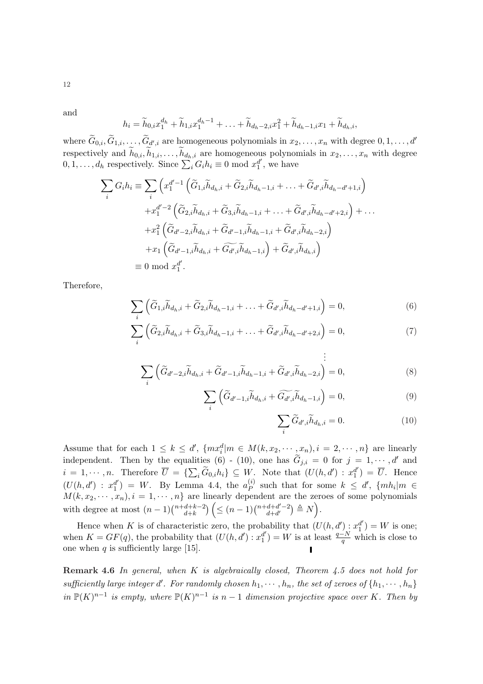and

12

$$
h_i = \widetilde{h}_{0,i}x_1^{d_h} + \widetilde{h}_{1,i}x_1^{d_h-1} + \ldots + \widetilde{h}_{d_h-2,i}x_1^2 + \widetilde{h}_{d_h-1,i}x_1 + \widetilde{h}_{d_h,i},
$$

where  $\widetilde{G}_{0,i}, \widetilde{G}_{1,i}, \ldots, \widetilde{G}_{d',i}$  are homogeneous polynomials in  $x_2, \ldots, x_n$  with degree  $0, 1, \ldots, d'$ respectively and  $\widetilde{h}_{0,i}, \widetilde{h}_{1,i}, \ldots, \widetilde{h}_{d_h,i}$  are homogeneous polynomials in  $x_2, \ldots, x_n$  with degree respectively and  $n_{0,i}, n_{1,i}, \ldots, n_{d_h,i}$  are nonogeneou<br>0, 1, ...,  $d_h$  respectively. Since  $\sum_i G_i h_i \equiv 0 \mod x_1^{d'}$  $_1^d$ , we have

$$
\sum_{i} G_{i} h_{i} \equiv \sum_{i} \left( x_{1}^{d'-1} \left( \widetilde{G}_{1,i} \widetilde{h}_{d_{h},i} + \widetilde{G}_{2,i} \widetilde{h}_{d_{h}-1,i} + \ldots + \widetilde{G}_{d',i} \widetilde{h}_{d_{h}-d'+1,i} \right) \right.
$$
  
\n
$$
+ x_{1}^{d'-2} \left( \widetilde{G}_{2,i} \widetilde{h}_{d_{h},i} + \widetilde{G}_{3,i} \widetilde{h}_{d_{h}-1,i} + \ldots + \widetilde{G}_{d',i} \widetilde{h}_{d_{h}-d'+2,i} \right) + \ldots
$$
  
\n
$$
+ x_{1}^{2} \left( \widetilde{G}_{d'-2,i} \widetilde{h}_{d_{h},i} + \widetilde{G}_{d'-1,i} \widetilde{h}_{d_{h}-1,i} + \widetilde{G}_{d',i} \widetilde{h}_{d_{h}-2,i} \right)
$$
  
\n
$$
+ x_{1} \left( \widetilde{G}_{d'-1,i} \widetilde{h}_{d_{h},i} + \widetilde{G}_{d',i} \widetilde{h}_{d_{h}-1,i} \right) + \widetilde{G}_{d',i} \widetilde{h}_{d_{h},i} \right)
$$
  
\n
$$
\equiv 0 \mod x_{1}^{d'}.
$$

Therefore,

$$
\sum_{i} \left( \widetilde{G}_{1,i} \widetilde{h}_{d_h,i} + \widetilde{G}_{2,i} \widetilde{h}_{d_h-1,i} + \ldots + \widetilde{G}_{d',i} \widetilde{h}_{d_h-d'+1,i} \right) = 0, \tag{6}
$$

$$
\sum_{i}^{i} \left( \widetilde{G}_{2,i} \widetilde{h}_{d_h,i} + \widetilde{G}_{3,i} \widetilde{h}_{d_h-1,i} + \ldots + \widetilde{G}_{d',i} \widetilde{h}_{d_h-d'+2,i} \right) = 0, \tag{7}
$$

$$
\sum_{i} \left( \widetilde{G}_{d'-2,i} \widetilde{h}_{d_h,i} + \widetilde{G}_{d'-1,i} \widetilde{h}_{d_h-1,i} + \widetilde{G}_{d',i} \widetilde{h}_{d_h-2,i} \right) = 0, \tag{8}
$$

$$
\sum_{i} \left( \widetilde{G}_{d'-1,i} \widetilde{h}_{d_h,i} + \widetilde{G_{d',i}} \widetilde{h}_{d_h-1,i} \right) = 0, \tag{9}
$$

.

$$
\sum_{i} \widetilde{G}_{d',i} \widetilde{h}_{d_h,i} = 0.
$$
 (10)

Assume that for each  $1 \leq k \leq d'$ ,  $\{mx_i^d|m \in M(k, x_2, \dots, x_n), i = 2, \dots, n\}$  are linearly independent. Then by the equalities (6) - (10), one has  $\tilde{G}_{j,i} = 0$  for  $j = 1, \dots, d'$  and  $i = 1, \dots, n$ . Therefore  $\overline{U} = \{$ anties (0)  $\cdot$  (10), one has  $\sigma_{j,i} = 0$  for  $j =$ <br> $\sum_i \widetilde{G}_{0,i} h_i$   $\subseteq W$ . Note that  $(U(h,d') : x_1^{d'}$  $\begin{bmatrix} d' \\ 1 \end{bmatrix} = \overline{U}$ . Hence  $(U(h, d')) : x_1^{d'}$  $\binom{d'}{1}$  = W. By Lemma 4.4, the  $a_P^{(i)}$  $P_P^{(i)}$  such that for some  $k \leq d'$ ,  $\{mh_i|m \in$  $M(k, x_2, \dots, x_n), i = 1, \dots, n$  are linearly dependent are the zeroes of some polynomials with degree at most  $(n-1)\binom{n+d+k-2}{d+k} \leq (n-1)\binom{n+d+d'-2}{d+d'} \triangleq N$ .  $d+k$  $\binom{n}{\leq (n-1)} \binom{n+d+d'-2}{d+d'}$  $d+d'$  $\tilde{\mathcal{L}}$  $\triangleq N$ e: .

Hence when K is of characteristic zero, the probability that  $(U(h, d'): x_1^{d'})$  $\binom{d'}{1} = W$  is one; when  $K = GF(q)$ , the probability that  $(U(h, d') : x_1^{d'}$  $\binom{d'}{1} = W$  is at least  $\frac{q-N}{q}$  which is close to one when  $q$  is sufficiently large [15].

**Remark 4.6** In general, when  $K$  is algebraically closed, Theorem 4.5 does not hold for sufficiently large integer d'. For randomly chosen  $h_1, \dots, h_n$ , the set of zeroes of  $\{h_1, \dots, h_n\}$ in  $\mathbb{P}(K)^{n-1}$  is empty, where  $\mathbb{P}(K)^{n-1}$  is n − 1 dimension projective space over K. Then by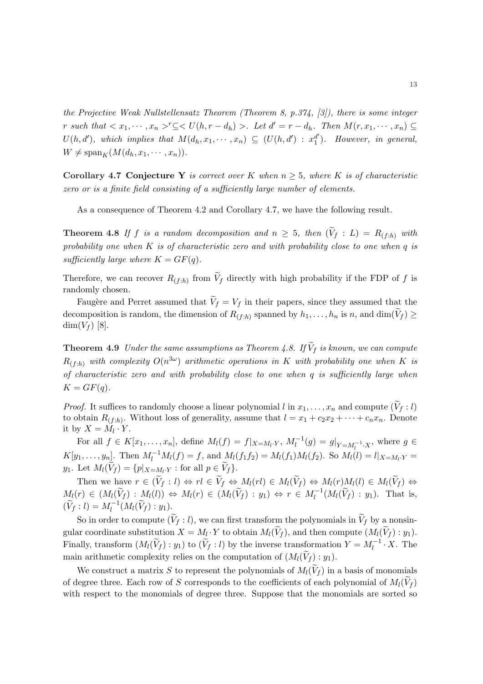the Projective Weak Nullstellensatz Theorem (Theorem 8, p.374, [3]), there is some integer r such that  $\langle x_1, \dots, x_n \rangle^r \subseteq \langle U(h, r - d_h) \rangle$ . Let  $d' = r - d_h$ . Then  $M(r, x_1, \dots, x_n) \subseteq$  $U(h, d')$ , which implies that  $M(d_h, x_1, \dots, x_n) \subseteq (U(h, d')) : x_1^{d'}$  $_1<sup>d'</sup>$ ). However, in general,  $W \neq \mathrm{span}_K(M(d_h, x_1, \cdots, x_n)).$ 

Corollary 4.7 Conjecture Y is correct over K when  $n \geq 5$ , where K is of characteristic zero or is a finite field consisting of a sufficiently large number of elements.

As a consequence of Theorem 4.2 and Corollary 4.7, we have the following result.

**Theorem 4.8** If f is a random decomposition and  $n \geq 5$ , then  $(\widetilde{V}_f : L) = R_{(f:h)}$  with probability one when  $K$  is of characteristic zero and with probability close to one when  $q$  is sufficiently large where  $K = GF(q)$ .

Therefore, we can recover  $R_{(f:h)}$  from  $\widetilde{V}_f$  directly with high probability if the FDP of f is randomly chosen.

Faugère and Perret assumed that  $\widetilde{V}_f = V_f$  in their papers, since they assumed that the decomposition is random, the dimension of  $R_{(f:h)}$  spanned by  $h_1, \ldots, h_n$  is n, and  $\dim(\widetilde{V}_f) \geq$  $\dim(V_f)$  [8].

**Theorem 4.9** Under the same assumptions as Theorem 4.8. If  $\widetilde{V}_f$  is known, we can compute  $R_{(f:h)}$  with complexity  $O(n^{3\omega})$  arithmetic operations in K with probability one when K is of characteristic zero and with probability close to one when q is sufficiently large when  $K = GF(q).$ 

*Proof.* It suffices to randomly choose a linear polynomial l in  $x_1, \ldots, x_n$  and compute  $(\widetilde{V}_f : l)$ to obtain  $R_{(f:h)}$ . Without loss of generality, assume that  $l = x_1 + c_2x_2 + \cdots + c_nx_n$ . Denote it by  $X = M_l \cdot Y$ .

For all  $f \in K[x_1, \ldots, x_n]$ , define  $M_l(f) = f|_{X=M_l \cdot Y}$ ,  $M_l^{-1}(g) = g|_{Y=M_l^{-1} \cdot X}$ , where  $g \in$  $K[y_1, \ldots, y_n]$ . Then  $M_l^{-1}M_l(f) = f$ , and  $M_l(f_1f_2) = M_l(f_1)M_l(f_2)$ . So  $M_l(l) = l|_{X=M_l \cdot Y} =$  $y_1$ . Let  $M_l(\widetilde{V}_f) = \{p|_{X=M_l \cdot Y} : \text{for all } p \in \widetilde{V}_f\}.$ 

Then we have  $r \in (\widetilde{V}_f : l) \Leftrightarrow rl \in \widetilde{V}_f \Leftrightarrow M_l(rl) \in M_l(\widetilde{V}_f) \Leftrightarrow M_l(r)M_l(l) \in M_l(\widetilde{V}_f) \Leftrightarrow$  $M_l(r) \in (M_l(\widetilde{V}_f) : M_l(l)) \Leftrightarrow M_l(r) \in (M_l(\widetilde{V}_f) : y_1) \Leftrightarrow r \in M_l^{-1}(M_l(\widetilde{V}_f) : y_1)$ . That is,  $(\widetilde{V}_f : l) = M_l^{-1}(M_l(\widetilde{V}_f) : y_1).$ 

So in order to compute  $(\widetilde{V}_f : l)$ , we can first transform the polynomials in  $\widetilde{V}_f$  by a nonsingular coordinate substitution  $X = M_l \cdot Y$  to obtain  $M_l(\widetilde{V}_f)$ , and then compute  $(M_l(\widetilde{V}_f) : y_1)$ . Finally, transform  $(M_l(\widetilde{V}_f) : y_1)$  to  $(\widetilde{V}_f : l)$  by the inverse transformation  $Y = M_l^{-1} \cdot X$ . The main arithmetic complexity relies on the computation of  $(M_l(V_f): y_1)$ .

We construct a matrix S to represent the polynomials of  $M_l(\tilde{V}_f)$  in a basis of monomials of degree three. Each row of S corresponds to the coefficients of each polynomial of  $M_l(\widetilde{V}_f)$ with respect to the monomials of degree three. Suppose that the monomials are sorted so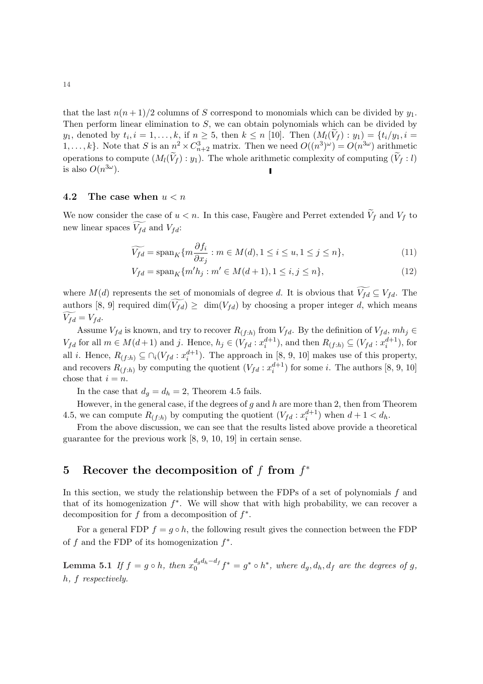that the last  $n(n+1)/2$  columns of S correspond to monomials which can be divided by  $y_1$ . Then perform linear elimination to S, we can obtain polynomials which can be divided by  $y_1$ , denoted by  $t_i$ ,  $i = 1, \ldots, k$ , if  $n \geq 5$ , then  $k \leq n$  [10]. Then  $(M_l(\widetilde{V}_f) : y_1) = \{t_i/y_1, i = 1, \ldots, k\}$ 1,...,k}. Note that S is an  $n^2 \times C_{n+2}^3$  matrix. Then we need  $O((n^3)^\omega) = O(n^{3\omega})$  arithmetic operations to compute  $(M_l(\widetilde{V}_f) : y_1)$ . The whole arithmetic complexity of computing  $(\widetilde{V}_f : l)$ is also  $O(n^{3\omega})$ .

#### 4.2 The case when  $u < n$

We now consider the case of  $u < n$ . In this case, Faugère and Perret extended  $V_f$  and  $V_f$  to new linear spaces  $\widetilde{V_{fd}}$  and  $V_{fd}$ :

$$
\widetilde{V_{fd}} = \operatorname{span}_{K} \{ m \frac{\partial f_{i}}{\partial x_{j}} : m \in M(d), 1 \le i \le u, 1 \le j \le n \},\tag{11}
$$

$$
V_{fd} = \text{span}_{K} \{ m'h_j : m' \in M(d+1), 1 \le i, j \le n \},\tag{12}
$$

where  $M(d)$  represents the set of monomials of degree d. It is obvious that  $\widetilde{V_{fd}} \subseteq V_{fd}$ . The authors [8, 9] required  $\dim(\widetilde{V_{fd}}) \geq \dim(V_{fd})$  by choosing a proper integer d, which means  $V_{fd} = V_{fd}.$ 

Assume  $V_{fd}$  is known, and try to recover  $R_{(f:h)}$  from  $V_{fd}$ . By the definition of  $V_{fd}$ ,  $mh_j \in$  $V_{fd}$  for all  $m \in M(d+1)$  and j. Hence,  $h_j \in (V_{fd}: x_i^{d+1})$ , and then  $R_{(f:h)} \subseteq (V_{fd}: x_i^{d+1})$ , for all *i*. Hence,  $R_{(f:h)} \subseteq \bigcap_i (V_{fd} : x_i^{d+1})$ . The approach in [8, 9, 10] makes use of this property, and recovers  $R_{(f:h)}$  by computing the quotient  $(V_{fd} : x_i^{d+1})$  for some *i*. The authors [8, 9, 10] chose that  $i = n$ .

In the case that  $d_g = d_h = 2$ , Theorem 4.5 fails.

However, in the general case, if the degrees of  $g$  and  $h$  are more than 2, then from Theorem 4.5, we can compute  $R_{(f:h)}$  by computing the quotient  $(V_{fd} : x_i^{d+1})$  when  $d+1 < d_h$ .

From the above discussion, we can see that the results listed above provide a theoretical guarantee for the previous work [8, 9, 10, 19] in certain sense.

# 5 Recover the decomposition of f from  $f^*$

In this section, we study the relationship between the FDPs of a set of polynomials  $f$  and that of its homogenization  $f^*$ . We will show that with high probability, we can recover a decomposition for f from a decomposition of  $f^*$ .

For a general FDP  $f = g \circ h$ , the following result gives the connection between the FDP of f and the FDP of its homogenization  $f^*$ .

**Lemma 5.1** If  $f = g \circ h$ , then  $x_0^{d_g d_h - d_f}$  $a_0^{a_q a_h - a_f} f^* = g^* \circ h^*$ , where  $d_g, d_h, d_f$  are the degrees of g, h, f respectively.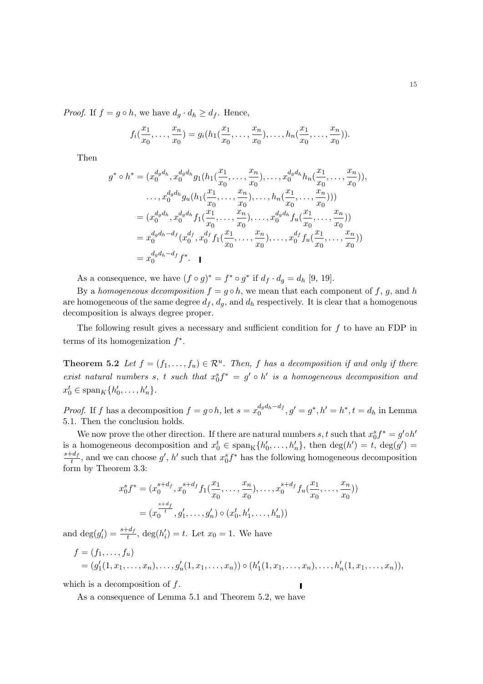*Proof.* If  $f = g \circ h$ , we have  $d_q \cdot d_h \geq d_f$ . Hence,

$$
f_i(\frac{x_1}{x_0},\ldots,\frac{x_n}{x_0})=g_i(h_1(\frac{x_1}{x_0},\ldots,\frac{x_n}{x_0}),\ldots,h_n(\frac{x_1}{x_0},\ldots,\frac{x_n}{x_0})).
$$

Then

$$
g^* \circ h^* = (x_0^{d_g d_h}, x_0^{d_g d_h} g_1(h_1(\frac{x_1}{x_0}, \dots, \frac{x_n}{x_0}), \dots, x_0^{d_g d_h} h_n(\frac{x_1}{x_0}, \dots, \frac{x_n}{x_0})),
$$
  
\n
$$
\dots, x_0^{d_g d_h} g_u(h_1(\frac{x_1}{x_0}, \dots, \frac{x_n}{x_0}), \dots, h_n(\frac{x_1}{x_0}, \dots, \frac{x_n}{x_0})))
$$
  
\n
$$
= (x_0^{d_g d_h}, x_0^{d_g d_h} f_1(\frac{x_1}{x_0}, \dots, \frac{x_n}{x_0}), \dots, x_0^{d_g d_h} f_u(\frac{x_1}{x_0}, \dots, \frac{x_n}{x_0}))
$$
  
\n
$$
= x_0^{d_g d_h - d_f} (x_0^{d_f}, x_0^{d_f} f_1(\frac{x_1}{x_0}, \dots, \frac{x_n}{x_0}), \dots, x_0^{d_f} f_u(\frac{x_1}{x_0}, \dots, \frac{x_n}{x_0}))
$$
  
\n
$$
= x_0^{d_g d_h - d_f} f^*.
$$

As a consequence, we have  $(f \circ g)^* = f^* \circ g^*$  if  $d_f \cdot d_g = d_h$  [9, 19].

By a homogeneous decomposition  $f = g \circ h$ , we mean that each component of f, g, and h are homogeneous of the same degree  $d_f$ ,  $d_g$ , and  $d_h$  respectively. It is clear that a homogenous decomposition is always degree proper.

The following result gives a necessary and sufficient condition for  $f$  to have an FDP in terms of its homogenization  $f^*$ .

**Theorem 5.2** Let  $f = (f_1, \ldots, f_u) \in \mathbb{R}^u$ . Then, f has a decomposition if and only if there exist natural numbers s, t such that  $x_0^s f^* = g' \circ h'$  is a homogeneous decomposition and  $x_0^t \in \text{span}_K \{h'_0, \dots, h'_n\}.$ 

*Proof.* If f has a decomposition  $f = g \circ h$ , let  $s = x_0^{d_g d_h - d_f}$  $a_0^{a_q a_h - a_f}, g' = g^*, h' = h^*, t = d_h$  in Lemma 5.1. Then the conclusion holds.

We now prove the other direction. If there are natural numbers  $s, t$  such that  $x_0^s f^* = g' \circ h'$ is a homogeneous decomposition and  $x_0^t \in \text{span}_{\mathcal{K}}\{h'_0, \ldots, h'_n\}$ , then  $\text{deg}(h') = t$ ,  $\text{deg}(g') =$  $s+d_f$  $\frac{d}{t}$ , and we can choose g', h' such that  $x_0^s f^*$  has the following homogeneous decomposition form by Theorem 3.3:

$$
x_0^s f^* = (x_0^{s+d_f}, x_0^{s+d_f} f_1(\frac{x_1}{x_0}, \dots, \frac{x_n}{x_0}), \dots, x_0^{s+d_f} f_u(\frac{x_1}{x_0}, \dots, \frac{x_n}{x_0}))
$$
  
=  $(x_0^{\frac{s+d_f}{t}}, g'_1, \dots, g'_n) \circ (x_0^t, h'_1, \dots, h'_n))$ 

and  $\deg(g_i') = \frac{s + d_f}{t}$ ,  $\deg(h_i') = t$ . Let  $x_0 = 1$ . We have

$$
f = (f_1, ..., f_u)
$$
  
=  $(g'_1(1, x_1, ..., x_n), ..., g'_u(1, x_1, ..., x_n)) \circ (h'_1(1, x_1, ..., x_n), ..., h'_n(1, x_1, ..., x_n)),$ 

which is a decomposition of  $f$ .

As a consequence of Lemma 5.1 and Theorem 5.2, we have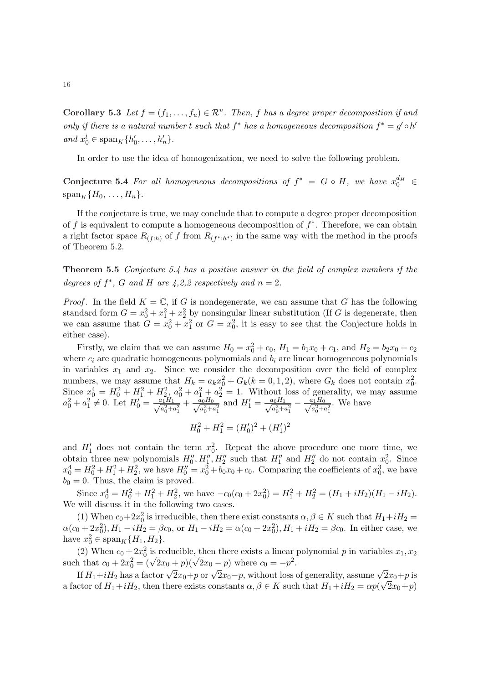Corollary 5.3 Let  $f = (f_1, \ldots, f_u) \in \mathcal{R}^u$ . Then, f has a degree proper decomposition if and only if there is a natural number t such that  $f^*$  has a homogeneous decomposition  $f^* = g' \circ h'$ and  $x_0^t \in \text{span}_K\{h'_0, \ldots, h'_n\}.$ 

In order to use the idea of homogenization, we need to solve the following problem.

Conjecture 5.4 For all homogeneous decompositions of  $f^* = G \circ H$ , we have  $x_0^{d_H} \in$  $\operatorname{span}_K \{H_0, \ldots, H_n\}.$ 

If the conjecture is true, we may conclude that to compute a degree proper decomposition of f is equivalent to compute a homogeneous decomposition of  $f^*$ . Therefore, we can obtain a right factor space  $R_{(f:h)}$  of f from  $R_{(f^*:h^*)}$  in the same way with the method in the proofs of Theorem 5.2.

Theorem 5.5 Conjecture 5.4 has a positive answer in the field of complex numbers if the degrees of  $f^*$ , G and H are 4,2,2 respectively and  $n = 2$ .

*Proof.* In the field  $K = \mathbb{C}$ , if G is nondegenerate, we can assume that G has the following standard form  $G = x_0^2 + x_1^2 + x_2^2$  by nonsingular linear substitution (If G is degenerate, then we can assume that  $G = x_0^2 + x_1^2$  or  $G = x_0^2$ , it is easy to see that the Conjecture holds in either case).

Firstly, we claim that we can assume  $H_0 = x_0^2 + c_0$ ,  $H_1 = b_1x_0 + c_1$ , and  $H_2 = b_2x_0 + c_2$ where  $c_i$  are quadratic homogeneous polynomials and  $b_i$  are linear homogeneous polynomials in variables  $x_1$  and  $x_2$ . Since we consider the decomposition over the field of complex numbers, we may assume that  $H_k = a_k x_0^2 + G_k(k = 0, 1, 2)$ , where  $G_k$  does not contain  $x_0^2$ . Since  $x_0^4 = H_0^2 + H_1^2 + H_{2,2}^2 a_0^2 + a_1^2 + a_2^2 = 1$ . Without loss of generality, we may assume  $a_0^2 + a_1^2 \neq 0$ . Let  $H_0' = \frac{a_1 H_1}{\sqrt{a_0^2 + a_1^2}} + \frac{\tilde{a}_0 H_0}{\sqrt{a_0^2 + a_1^2}}$  and  $H_1' = \frac{a_0 H_1}{\sqrt{a_0^2 + a_1^2}} - \frac{a_1 H_0}{\sqrt{a_0^2 + a_1^2}}$ . We have

$$
H_0^2 + H_1^2 = (H_0')^2 + (H_1')^2
$$

and  $H_1'$  does not contain the term  $x_0^2$ . Repeat the above procedure one more time, we obtain three new polynomials  $H_0'', H_1'', H_2''$  such that  $H_1''$  and  $H_2''$  do not contain  $x_0^2$ . Since  $x_0^4 = H_0^2 + H_1^2 + H_2^2$ , we have  $H_0'' = x_0^2 + b_0x_0 + c_0$ . Comparing the coefficients of  $x_0^3$ , we have  $b_0 = 0$ . Thus, the claim is proved.

Since  $x_0^4 = H_0^2 + H_1^2 + H_2^2$ , we have  $-c_0(c_0 + 2x_0^2) = H_1^2 + H_2^2 = (H_1 + iH_2)(H_1 - iH_2)$ . We will discuss it in the following two cases.

(1) When  $c_0+2x_0^2$  is irreducible, then there exist constants  $\alpha, \beta \in K$  such that  $H_1+iH_2 =$  $\alpha(c_0 + 2x_0^2), H_1 - iH_2 = \beta c_0$ , or  $H_1 - iH_2 = \alpha(c_0 + 2x_0^2), H_1 + iH_2 = \beta c_0$ . In either case, we have  $x_0^2 \in \text{span}_K \{H_1, H_2\}.$ 

(2) When  $c_0 + 2x_0^2$  is reducible, then there exists a linear polynomial p in variables  $x_1, x_2$ (2) When  $c_0 + 2x_0^2$  is reducible, then there exists a linear<br>such that  $c_0 + 2x_0^2 = (\sqrt{2}x_0 + p)(\sqrt{2}x_0 - p)$  where  $c_0 = -p^2$ .

If  $H_1+iH_2$  has a factor  $\sqrt{2}x_0+p$  or  $\sqrt{2}x_0-p$ , without loss of generality, assume  $\sqrt{2}x_0+p$  is a factor of  $H_1+iH_2$ , then there exists constants  $\alpha, \beta \in K$  such that  $H_1+iH_2 = \alpha p(\sqrt{2x_0}+p)$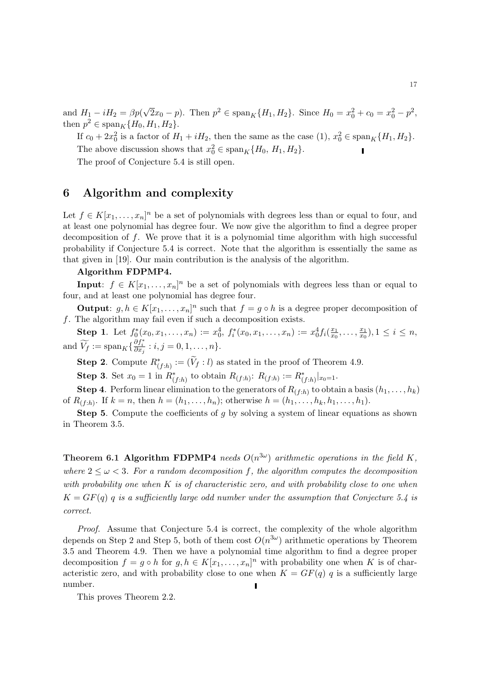and  $H_1 - iH_2 = \beta p($ √  $\overline{2}x_0 - p$ . Then  $p^2 \in \text{span}_K\{H_1, H_2\}$ . Since  $H_0 = x_0^2 + c_0 = x_0^2 - p^2$ , then  $p^2 \in \text{span}_K \{H_0, H_1, H_2\}.$ 

If  $c_0 + 2x_0^2$  is a factor of  $H_1 + iH_2$ , then the same as the case  $(1), x_0^2 \in \text{span}_K\{H_1, H_2\}.$ The above discussion shows that  $x_0^2 \in \text{span}_K\{H_0, H_1, H_2\}.$ 

The proof of Conjecture 5.4 is still open.

## 6 Algorithm and complexity

Let  $f \in K[x_1, \ldots, x_n]^n$  be a set of polynomials with degrees less than or equal to four, and at least one polynomial has degree four. We now give the algorithm to find a degree proper decomposition of f. We prove that it is a polynomial time algorithm with high successful probability if Conjecture 5.4 is correct. Note that the algorithm is essentially the same as that given in [19]. Our main contribution is the analysis of the algorithm.

#### Algorithm FDPMP4.

**Input:**  $f \in K[x_1, \ldots, x_n]^n$  be a set of polynomials with degrees less than or equal to four, and at least one polynomial has degree four.

**Output:**  $g, h \in K[x_1, \ldots, x_n]^n$  such that  $f = g \circ h$  is a degree proper decomposition of  $f.$  The algorithm may fail even if such a decomposition exists.

**Step 1.** Let  $f_0^*(x_0, x_1, \ldots, x_n) := x_0^4$ ,  $f_i^*(x_0, x_1, \ldots, x_n) := x_0^4 f_i(\frac{x_1}{x_0})$  $\frac{x_1}{x_0},\ldots,\frac{x_1}{x_0}$  $(\frac{x_1}{x_0}), 1 \leq i \leq n,$ and  $\widetilde{V}_f := \mathrm{span}_K \{ \frac{\partial f_i^*}{\partial x_j} : i, j = 0, 1, \dots, n \}.$ 

**Step 2**. Compute  $R^*_{(f:h)} := (\widetilde{V}_f : l)$  as stated in the proof of Theorem 4.9.

**Step 3.** Set  $x_0 = 1$  in  $R^*_{(f:h)}$  to obtain  $R_{(f:h)}$ :  $R_{(f:h)} := R^*_{(f:h)}|_{x_0=1}$ .

**Step 4.** Perform linear elimination to the generators of  $R_{(f:h)}$  to obtain a basis  $(h_1, \ldots, h_k)$ of  $R_{(f:h)}$ . If  $k = n$ , then  $h = (h_1, ..., h_n)$ ; otherwise  $h = (h_1, ..., h_k, h_1, ..., h_1)$ .

**Step 5.** Compute the coefficients of  $g$  by solving a system of linear equations as shown in Theorem 3.5.

**Theorem 6.1 Algorithm FDPMP4** needs  $O(n^{3\omega})$  arithmetic operations in the field K, where  $2 \leq \omega < 3$ . For a random decomposition f, the algorithm computes the decomposition with probability one when  $K$  is of characteristic zero, and with probability close to one when  $K = GF(q)$  q is a sufficiently large odd number under the assumption that Conjecture 5.4 is correct.

Proof. Assume that Conjecture 5.4 is correct, the complexity of the whole algorithm depends on Step 2 and Step 5, both of them cost  $O(n^{3\omega})$  arithmetic operations by Theorem 3.5 and Theorem 4.9. Then we have a polynomial time algorithm to find a degree proper decomposition  $f = g \circ h$  for  $g, h \in K[x_1, \ldots, x_n]^n$  with probability one when K is of characteristic zero, and with probability close to one when  $K = GF(q)$  q is a sufficiently large number.

This proves Theorem 2.2.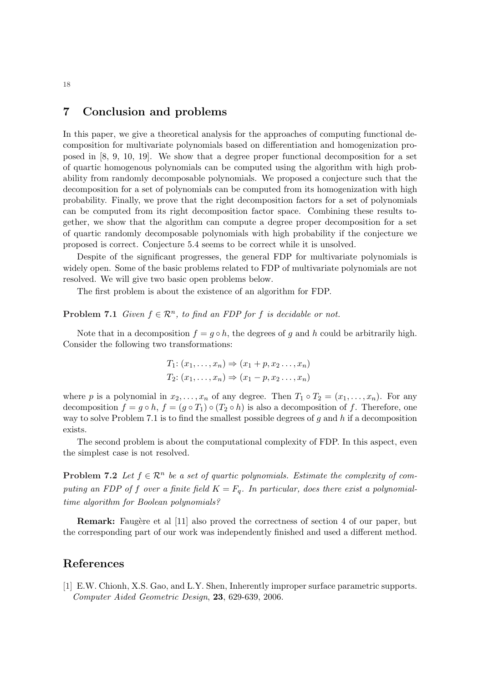## 7 Conclusion and problems

In this paper, we give a theoretical analysis for the approaches of computing functional decomposition for multivariate polynomials based on differentiation and homogenization proposed in [8, 9, 10, 19]. We show that a degree proper functional decomposition for a set of quartic homogenous polynomials can be computed using the algorithm with high probability from randomly decomposable polynomials. We proposed a conjecture such that the decomposition for a set of polynomials can be computed from its homogenization with high probability. Finally, we prove that the right decomposition factors for a set of polynomials can be computed from its right decomposition factor space. Combining these results together, we show that the algorithm can compute a degree proper decomposition for a set of quartic randomly decomposable polynomials with high probability if the conjecture we proposed is correct. Conjecture 5.4 seems to be correct while it is unsolved.

Despite of the significant progresses, the general FDP for multivariate polynomials is widely open. Some of the basic problems related to FDP of multivariate polynomials are not resolved. We will give two basic open problems below.

The first problem is about the existence of an algorithm for FDP.

#### **Problem 7.1** Given  $f \in \mathbb{R}^n$ , to find an FDP for f is decidable or not.

Note that in a decomposition  $f = g \circ h$ , the degrees of g and h could be arbitrarily high. Consider the following two transformations:

$$
T_1: (x_1, \ldots, x_n) \Rightarrow (x_1 + p, x_2 \ldots, x_n)
$$
  

$$
T_2: (x_1, \ldots, x_n) \Rightarrow (x_1 - p, x_2 \ldots, x_n)
$$

where p is a polynomial in  $x_2, \ldots, x_n$  of any degree. Then  $T_1 \circ T_2 = (x_1, \ldots, x_n)$ . For any decomposition  $f = g \circ h$ ,  $f = (g \circ T_1) \circ (T_2 \circ h)$  is also a decomposition of f. Therefore, one way to solve Problem 7.1 is to find the smallest possible degrees of g and h if a decomposition exists.

The second problem is about the computational complexity of FDP. In this aspect, even the simplest case is not resolved.

**Problem 7.2** Let  $f \in \mathbb{R}^n$  be a set of quartic polynomials. Estimate the complexity of computing an FDP of f over a finite field  $K = F_q$ . In particular, does there exist a polynomialtime algorithm for Boolean polynomials?

**Remark:** Faugère et al [11] also proved the correctness of section 4 of our paper, but the corresponding part of our work was independently finished and used a different method.

#### References

[1] E.W. Chionh, X.S. Gao, and L.Y. Shen, Inherently improper surface parametric supports. Computer Aided Geometric Design, 23, 629-639, 2006.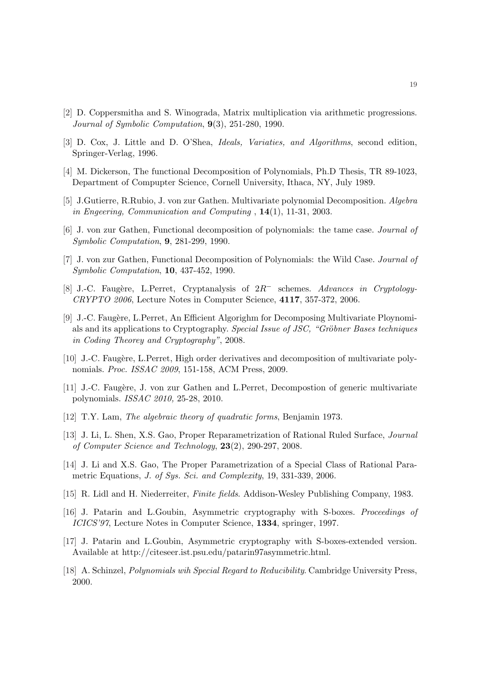- [2] D. Coppersmitha and S. Winograda, Matrix multiplication via arithmetic progressions. Journal of Symbolic Computation, 9(3), 251-280, 1990.
- [3] D. Cox, J. Little and D. O'Shea, Ideals, Variaties, and Algorithms, second edition, Springer-Verlag, 1996.
- [4] M. Dickerson, The functional Decomposition of Polynomials, Ph.D Thesis, TR 89-1023, Department of Compupter Science, Cornell University, Ithaca, NY, July 1989.
- [5] J.Gutierre, R.Rubio, J. von zur Gathen. Multivariate polynomial Decomposition. Algebra in Engeering, Communication and Computing , 14(1), 11-31, 2003.
- [6] J. von zur Gathen, Functional decomposition of polynomials: the tame case. Journal of Symbolic Computation, 9, 281-299, 1990.
- [7] J. von zur Gathen, Functional Decomposition of Polynomials: the Wild Case. Journal of Symbolic Computation, 10, 437-452, 1990.
- [8] J.-C. Faugère, L.Perret, Cryptanalysis of  $2R^-$  schemes. Advances in Cryptology-CRYPTO 2006, Lecture Notes in Computer Science, 4117, 357-372, 2006.
- [9] J.-C. Faugère, L.Perret, An Efficient Algorighm for Decomposing Multivariate Ploynomials and its applications to Cryptography. Special Issue of JSC, "Gröbner Bases techniques in Coding Theorey and Cryptography", 2008.
- [10] J.-C. Faugère, L.Perret, High order derivatives and decomposition of multivariate polynomials. Proc. ISSAC 2009, 151-158, ACM Press, 2009.
- [11] J.-C. Faugère, J. von zur Gathen and L.Perret, Decompostion of generic multivariate polynomials. ISSAC 2010, 25-28, 2010.
- [12] T.Y. Lam, The algebraic theory of quadratic forms, Benjamin 1973.
- [13] J. Li, L. Shen, X.S. Gao, Proper Reparametrization of Rational Ruled Surface, Journal of Computer Science and Technology, 23(2), 290-297, 2008.
- [14] J. Li and X.S. Gao, The Proper Parametrization of a Special Class of Rational Parametric Equations, J. of Sys. Sci. and Complexity, 19, 331-339, 2006.
- [15] R. Lidl and H. Niederreiter, Finite fields. Addison-Wesley Publishing Company, 1983.
- [16] J. Patarin and L.Goubin, Asymmetric cryptography with S-boxes. Proceedings of ICICS'97, Lecture Notes in Computer Science, 1334, springer, 1997.
- [17] J. Patarin and L.Goubin, Asymmetric cryptography with S-boxes-extended version. Available at http://citeseer.ist.psu.edu/patarin97asymmetric.html.
- [18] A. Schinzel, Polynomials wih Special Regard to Reducibility. Cambridge University Press, 2000.